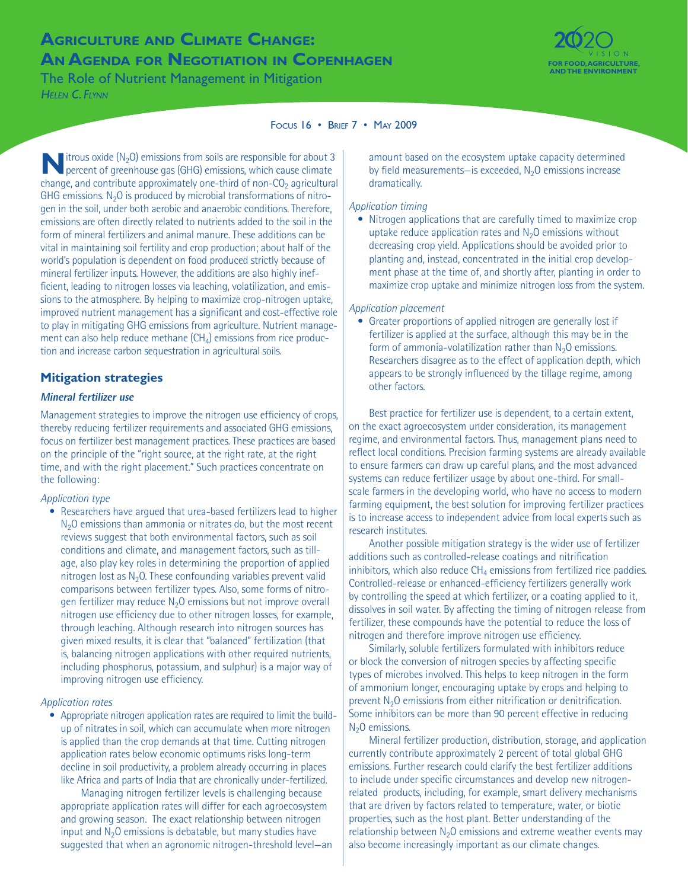# **Agriculture and Climate Change: AN AGENDA FOR NEGOTIATION IN COPENHAGEN**

The Role of Nutrient Management in Mitigation *Helen C. Flynn*



#### Focus 16 • Brief 7 • May 2009

**N** itrous oxide (N<sub>2</sub>O) emissions from soils are responsible for about 3 percent of greenhouse gas (GHG) emissions, which cause climate change, and contribute approximately one-third of non- $CO<sub>2</sub>$  agricultural GHG emissions.  $N<sub>2</sub>O$  is produced by microbial transformations of nitrogen in the soil, under both aerobic and anaerobic conditions. Therefore, emissions are often directly related to nutrients added to the soil in the form of mineral fertilizers and animal manure. These additions can be vital in maintaining soil fertility and crop production; about half of the world's population is dependent on food produced strictly because of mineral fertilizer inputs. However, the additions are also highly inefficient, leading to nitrogen losses via leaching, volatilization, and emissions to the atmosphere. By helping to maximize crop-nitrogen uptake, improved nutrient management has a significant and cost-effective role to play in mitigating GHG emissions from agriculture. Nutrient management can also help reduce methane  $(CH_4)$  emissions from rice production and increase carbon sequestration in agricultural soils.

## **Mitigation strategies**

## **Mineral fertilizer use**

Management strategies to improve the nitrogen use efficiency of crops, thereby reducing fertilizer requirements and associated GHG emissions, focus on fertilizer best management practices. These practices are based on the principle of the "right source, at the right rate, at the right time, and with the right placement." Such practices concentrate on the following:

#### *Application type*

• Researchers have argued that urea-based fertilizers lead to higher  $N<sub>2</sub>O$  emissions than ammonia or nitrates do, but the most recent reviews suggest that both environmental factors, such as soil conditions and climate, and management factors, such as tillage, also play key roles in determining the proportion of applied nitrogen lost as  $N<sub>2</sub>$ O. These confounding variables prevent valid comparisons between fertilizer types. Also, some forms of nitrogen fertilizer may reduce  $N<sub>2</sub>O$  emissions but not improve overall nitrogen use efficiency due to other nitrogen losses, for example, through leaching. Although research into nitrogen sources has given mixed results, it is clear that "balanced" fertilization (that is, balancing nitrogen applications with other required nutrients, including phosphorus, potassium, and sulphur) is a major way of improving nitrogen use efficiency.

#### *Application rates*

• Appropriate nitrogen application rates are required to limit the buildup of nitrates in soil, which can accumulate when more nitrogen is applied than the crop demands at that time. Cutting nitrogen application rates below economic optimums risks long-term decline in soil productivity, a problem already occurring in places like Africa and parts of India that are chronically under-fertilized.

Managing nitrogen fertilizer levels is challenging because appropriate application rates will differ for each agroecosystem and growing season. The exact relationship between nitrogen input and  $N<sub>2</sub>O$  emissions is debatable, but many studies have suggested that when an agronomic nitrogen-threshold level—an amount based on the ecosystem uptake capacity determined by field measurements—is exceeded,  $N<sub>2</sub>O$  emissions increase dramatically.

#### *Application timing*

• Nitrogen applications that are carefully timed to maximize crop uptake reduce application rates and  $N<sub>2</sub>O$  emissions without decreasing crop yield. Applications should be avoided prior to planting and, instead, concentrated in the initial crop development phase at the time of, and shortly after, planting in order to maximize crop uptake and minimize nitrogen loss from the system.

*Application placement*

• Greater proportions of applied nitrogen are generally lost if fertilizer is applied at the surface, although this may be in the form of ammonia-volatilization rather than  $N_2O$  emissions. Researchers disagree as to the effect of application depth, which appears to be strongly influenced by the tillage regime, among other factors.

Best practice for fertilizer use is dependent, to a certain extent, on the exact agroecosystem under consideration, its management regime, and environmental factors. Thus, management plans need to reflect local conditions. Precision farming systems are already available to ensure farmers can draw up careful plans, and the most advanced systems can reduce fertilizer usage by about one-third. For smallscale farmers in the developing world, who have no access to modern farming equipment, the best solution for improving fertilizer practices is to increase access to independent advice from local experts such as research institutes.

Another possible mitigation strategy is the wider use of fertilizer additions such as controlled-release coatings and nitrification inhibitors, which also reduce  $CH_4$  emissions from fertilized rice paddies. Controlled-release or enhanced-efficiency fertilizers generally work by controlling the speed at which fertilizer, or a coating applied to it, dissolves in soil water. By affecting the timing of nitrogen release from fertilizer, these compounds have the potential to reduce the loss of nitrogen and therefore improve nitrogen use efficiency.

Similarly, soluble fertilizers formulated with inhibitors reduce or block the conversion of nitrogen species by affecting specific types of microbes involved. This helps to keep nitrogen in the form of ammonium longer, encouraging uptake by crops and helping to prevent N2O emissions from either nitrification or denitrification. Some inhibitors can be more than 90 percent effective in reducing  $N<sub>2</sub>O$  emissions.

Mineral fertilizer production, distribution, storage, and application currently contribute approximately 2 percent of total global GHG emissions. Further research could clarify the best fertilizer additions to include under specific circumstances and develop new nitrogenrelated products, including, for example, smart delivery mechanisms that are driven by factors related to temperature, water, or biotic properties, such as the host plant. Better understanding of the relationship between  $N_2O$  emissions and extreme weather events may also become increasingly important as our climate changes.